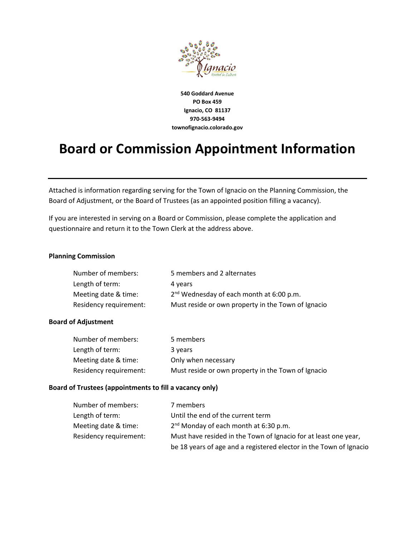

**540 Goddard Avenue PO Box 459 Ignacio, CO 81137 970-563-9494 townofignacio.colorado.gov**

# **Board or Commission Appointment Information**

Attached is information regarding serving for the Town of Ignacio on the Planning Commission, the Board of Adjustment, or the Board of Trustees (as an appointed position filling a vacancy).

If you are interested in serving on a Board or Commission, please complete the application and questionnaire and return it to the Town Clerk at the address above.

### **Planning Commission**

| Number of members:     | 5 members and 2 alternates                           |
|------------------------|------------------------------------------------------|
| Length of term:        | 4 years                                              |
| Meeting date & time:   | 2 <sup>nd</sup> Wednesday of each month at 6:00 p.m. |
| Residency requirement: | Must reside or own property in the Town of Ignacio   |

### **Board of Adjustment**

| Number of members:     | 5 members                                          |
|------------------------|----------------------------------------------------|
| Length of term:        | 3 years                                            |
| Meeting date & time:   | Only when necessary                                |
| Residency requirement: | Must reside or own property in the Town of Ignacio |

#### **Board of Trustees (appointments to fill a vacancy only)**

| Number of members:     | 7 members                                                          |
|------------------------|--------------------------------------------------------------------|
| Length of term:        | Until the end of the current term                                  |
| Meeting date & time:   | $2nd$ Monday of each month at 6:30 p.m.                            |
| Residency requirement: | Must have resided in the Town of Ignacio for at least one year,    |
|                        | be 18 years of age and a registered elector in the Town of Ignacio |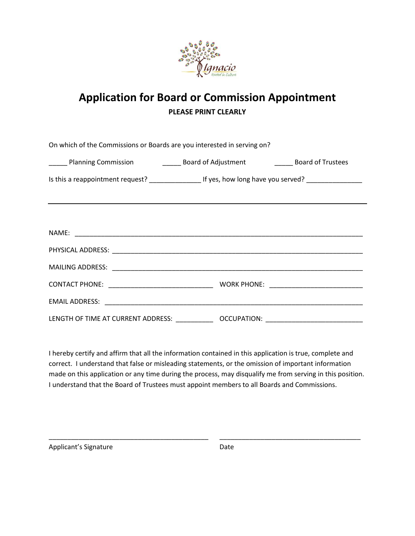

## **Application for Board or Commission Appointment PLEASE PRINT CLEARLY**

| On which of the Commissions or Boards are you interested in serving on?                             |  |  |  |  |
|-----------------------------------------------------------------------------------------------------|--|--|--|--|
| Label 2022 Planning Commission Commission Commission Commission Control Board of Trustees           |  |  |  |  |
|                                                                                                     |  |  |  |  |
|                                                                                                     |  |  |  |  |
|                                                                                                     |  |  |  |  |
|                                                                                                     |  |  |  |  |
|                                                                                                     |  |  |  |  |
|                                                                                                     |  |  |  |  |
|                                                                                                     |  |  |  |  |
|                                                                                                     |  |  |  |  |
| LENGTH OF TIME AT CURRENT ADDRESS: ________________ OCCUPATION: ___________________________________ |  |  |  |  |

I hereby certify and affirm that all the information contained in this application is true, complete and correct. I understand that false or misleading statements, or the omission of important information made on this application or any time during the process, may disqualify me from serving in this position. I understand that the Board of Trustees must appoint members to all Boards and Commissions.

\_\_\_\_\_\_\_\_\_\_\_\_\_\_\_\_\_\_\_\_\_\_\_\_\_\_\_\_\_\_\_\_\_\_\_\_\_\_\_\_\_\_\_ \_\_\_\_\_\_\_\_\_\_\_\_\_\_\_\_\_\_\_\_\_\_\_\_\_\_\_\_\_\_\_\_\_\_\_\_\_\_

Applicant's Signature Date